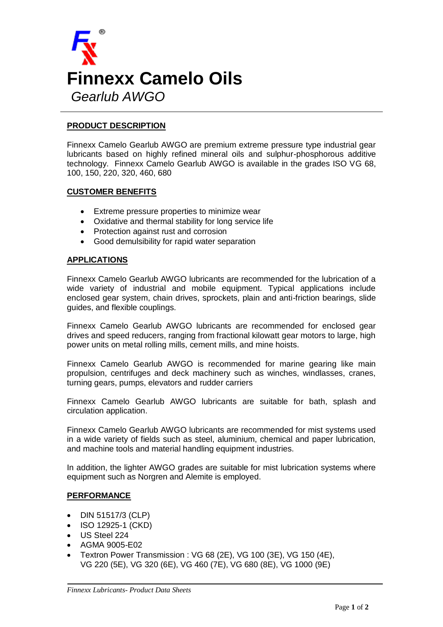

## **PRODUCT DESCRIPTION**

Finnexx Camelo Gearlub AWGO are premium extreme pressure type industrial gear lubricants based on highly refined mineral oils and sulphur-phosphorous additive technology. Finnexx Camelo Gearlub AWGO is available in the grades ISO VG 68, 100, 150, 220, 320, 460, 680

### **CUSTOMER BENEFITS**

- Extreme pressure properties to minimize wear
- Oxidative and thermal stability for long service life
- Protection against rust and corrosion
- Good demulsibility for rapid water separation

### **APPLICATIONS**

Finnexx Camelo Gearlub AWGO lubricants are recommended for the lubrication of a wide variety of industrial and mobile equipment. Typical applications include enclosed gear system, chain drives, sprockets, plain and anti-friction bearings, slide guides, and flexible couplings.

Finnexx Camelo Gearlub AWGO lubricants are recommended for enclosed gear drives and speed reducers, ranging from fractional kilowatt gear motors to large, high power units on metal rolling mills, cement mills, and mine hoists.

Finnexx Camelo Gearlub AWGO is recommended for marine gearing like main propulsion, centrifuges and deck machinery such as winches, windlasses, cranes, turning gears, pumps, elevators and rudder carriers

Finnexx Camelo Gearlub AWGO lubricants are suitable for bath, splash and circulation application.

Finnexx Camelo Gearlub AWGO lubricants are recommended for mist systems used in a wide variety of fields such as steel, aluminium, chemical and paper lubrication, and machine tools and material handling equipment industries.

In addition, the lighter AWGO grades are suitable for mist lubrication systems where equipment such as Norgren and Alemite is employed.

### **PERFORMANCE**

- DIN 51517/3 (CLP)
- ISO 12925-1 (CKD)
- US Steel 224
- AGMA 9005-E02
- Textron Power Transmission : VG 68 (2E), VG 100 (3E), VG 150 (4E), VG 220 (5E), VG 320 (6E), VG 460 (7E), VG 680 (8E), VG 1000 (9E)